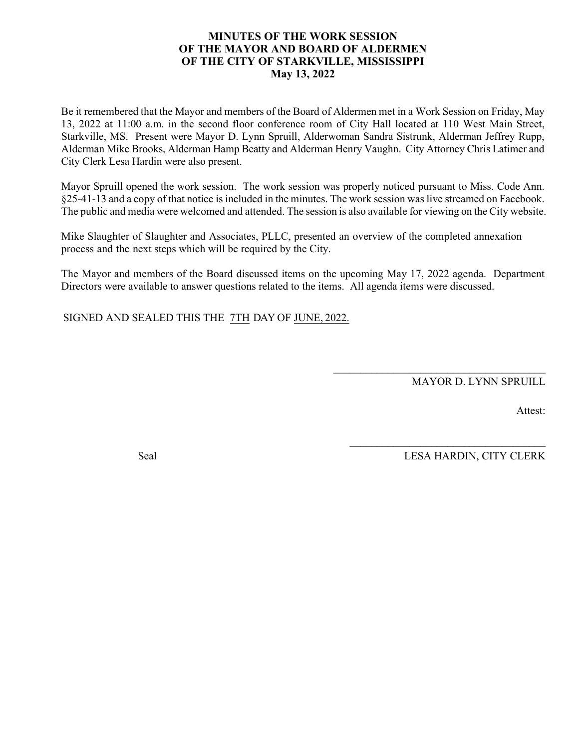#### **MINUTES OF THE WORK SESSION OF THE MAYOR AND BOARD OF ALDERMEN OF THE CITY OF STARKVILLE, MISSISSIPPI May 13, 2022**

Be it remembered that the Mayor and members of the Board of Aldermen met in a Work Session on Friday, May 13, 2022 at 11:00 a.m. in the second floor conference room of City Hall located at 110 West Main Street, Starkville, MS. Present were Mayor D. Lynn Spruill, Alderwoman Sandra Sistrunk, Alderman Jeffrey Rupp, Alderman Mike Brooks, Alderman Hamp Beatty and Alderman Henry Vaughn. City Attorney Chris Latimer and City Clerk Lesa Hardin were also present.

Mayor Spruill opened the work session. The work session was properly noticed pursuant to Miss. Code Ann. §25-41-13 and a copy of that notice is included in the minutes. The work session waslive streamed on Facebook. The public and media were welcomed and attended. The session is also available for viewing on the City website.

Mike Slaughter of Slaughter and Associates, PLLC, presented an overview of the completed annexation process and the next steps which will be required by the City.

The Mayor and members of the Board discussed items on the upcoming May 17, 2022 agenda. Department Directors were available to answer questions related to the items. All agenda items were discussed.

SIGNED AND SEALED THIS THE 7TH DAY OF JUNE, 2022.

MAYOR D. LYNN SPRUILL

 $\mathcal{L}_\text{max}$  and  $\mathcal{L}_\text{max}$  and  $\mathcal{L}_\text{max}$  and  $\mathcal{L}_\text{max}$ 

 $\mathcal{L}_\text{max}$  , and the set of the set of the set of the set of the set of the set of the set of the set of the set of the set of the set of the set of the set of the set of the set of the set of the set of the set of the

Attest:

Seal LESA HARDIN, CITY CLERK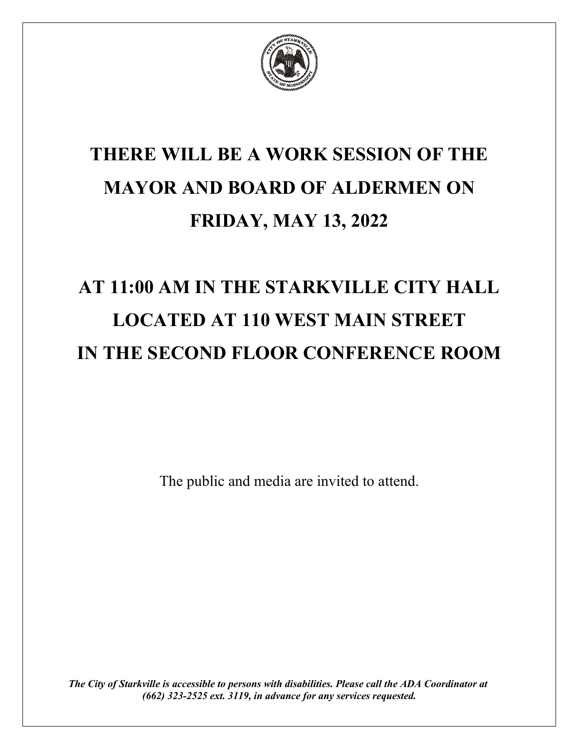

## **THERE WILL BE A WORK SESSION OF THE MAYOR AND BOARD OF ALDERMEN ON FRIDAY, MAY 13, 2022**

# **AT 11:00 AM IN THE STARKVILLE CITY HALL LOCATED AT 110 WEST MAIN STREET IN THE SECOND FLOOR CONFERENCE ROOM**

The public and media are invited to attend.

*The City of Starkville is accessible to persons with disabilities. Please call the ADA Coordinator at (662) 323-2525 ext. 3119, in advance for any services requested.*